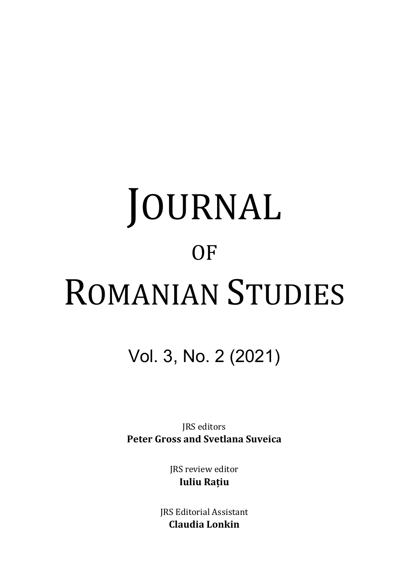# JOURNAL **OF** ROMANIAN STUDIES

# Vol. 3, No. 2 (2021)

JRS editors **Peter Gross and Svetlana Suveica**

> JRS review editor **Iuliu Rațiu**

JRS Editorial Assistant **Claudia Lonkin**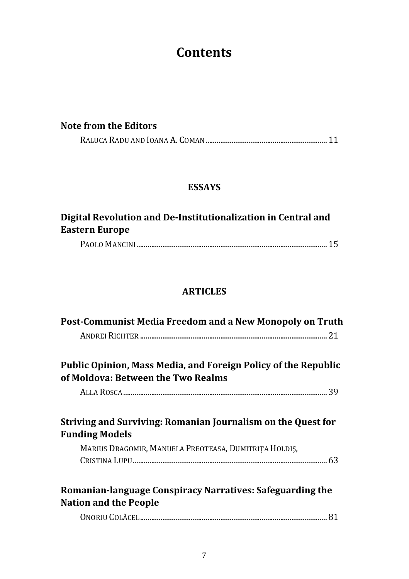# **Contents**

|  | Note from the Editors |
|--|-----------------------|
|--|-----------------------|

|--|--|

#### **ESSAYS**

# **Digital Revolution and De-Institutionalization in Central and Eastern Europe**

|--|--|

#### **ARTICLES**

| Post-Communist Media Freedom and a New Monopoly on Truth                                                                                       |  |
|------------------------------------------------------------------------------------------------------------------------------------------------|--|
| Public Opinion, Mass Media, and Foreign Policy of the Republic<br>of Moldova: Between the Two Realms                                           |  |
|                                                                                                                                                |  |
| Striving and Surviving: Romanian Journalism on the Quest for<br><b>Funding Models</b><br>MARIUS DRAGOMIR, MANUELA PREOTEASA, DUMITRITA HOLDIS, |  |
| Romanian-language Conspiracy Narratives: Safeguarding the<br><b>Nation and the People</b>                                                      |  |
|                                                                                                                                                |  |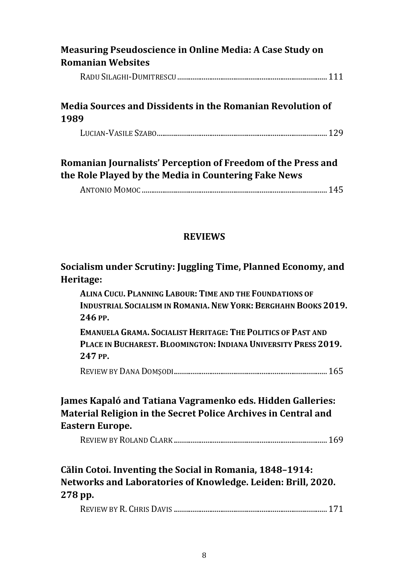| Measuring Pseudoscience in Online Media: A Case Study on<br><b>Romanian Websites</b>                                 |  |
|----------------------------------------------------------------------------------------------------------------------|--|
|                                                                                                                      |  |
| Media Sources and Dissidents in the Romanian Revolution of<br>1989                                                   |  |
|                                                                                                                      |  |
| Romanian Journalists' Perception of Freedom of the Press and<br>the Role Played by the Media in Countering Fake News |  |
|                                                                                                                      |  |

#### **REVIEWS**

#### **Socialism under Scrutiny: Juggling Time, Planned Economy, and Heritage:**

**ALINA CUCU. PLANNING LABOUR: TIME AND THE FOUNDATIONS OF INDUSTRIAL SOCIALISM IN ROMANIA. NEW YORK: BERGHAHN BOOKS 2019. 246 PP.** 

**EMANUELA GRAMA. SOCIALIST HERITAGE: THE POLITICS OF PAST AND PLACE IN BUCHAREST. BLOOMINGTON: INDIANA UNIVERSITY PRESS 2019. 247 PP.** 

REVIEW BY DANA DOMŞODI .................................................................................. 165

#### **James Kapaló and Tatiana Vagramenko eds. Hidden Galleries: Material Religion in the Secret Police Archives in Central and Eastern Europe.**

REVIEW BY ROLAND CLARK .................................................................................. 169

## **Călin Cotoi. Inventing the Social in Romania, 1848–1914: Networks and Laboratories of Knowledge. Leiden: Brill, 2020. 278 pp.**

REVIEW BY R. CHRIS DAVIS .................................................................................. 171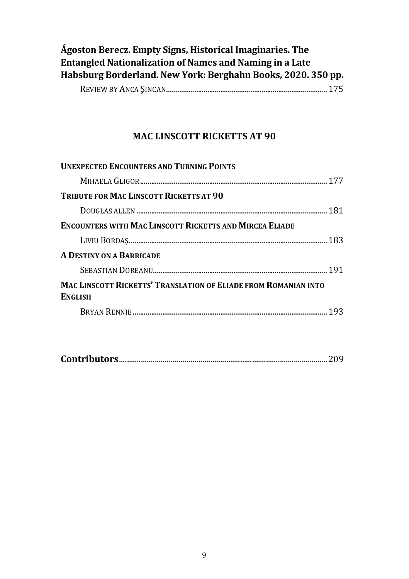| Ágoston Berecz. Empty Signs, Historical Imaginaries. The     |                      |
|--------------------------------------------------------------|----------------------|
| Entangled Nationalization of Names and Naming in a Late      |                      |
| Habsburg Borderland. New York: Berghahn Books, 2020. 350 pp. |                      |
|                                                              | $\sim$ $\sim$ $\sim$ |

|--|--|--|--|--|

#### **MAC LINSCOTT RICKETTS AT 90**

| <b>UNEXPECTED ENCOUNTERS AND TURNING POINTS</b>                                          |
|------------------------------------------------------------------------------------------|
|                                                                                          |
| <b>TRIBUTE FOR MAC LINSCOTT RICKETTS AT 90</b>                                           |
|                                                                                          |
| <b>ENCOUNTERS WITH MAC LINSCOTT RICKETTS AND MIRCEA ELIADE</b>                           |
|                                                                                          |
| <b>A DESTINY ON A BARRICADE</b>                                                          |
|                                                                                          |
| <b>MAC LINSCOTT RICKETTS' TRANSLATION OF ELIADE FROM ROMANIAN INTO</b><br><b>ENGLISH</b> |
|                                                                                          |

|--|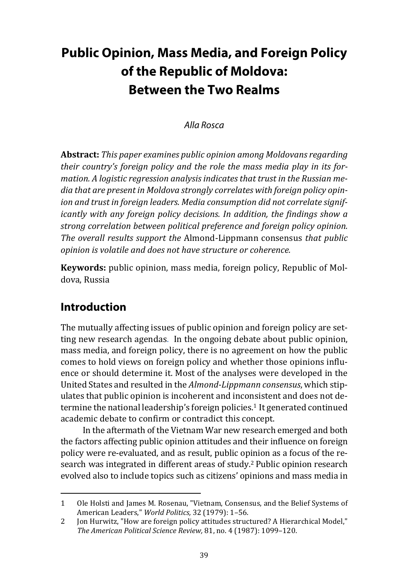# **Public Opinion, Mass Media, and Foreign Policy of the Republic of Moldova: Between the Two Realms**

#### Alla Rosca

**Abstract:** *This paper examines public opinion among Moldovans regarding their country's foreign policy and the role the mass media play in its formation. A logistic regression analysis indicates that trust in the Russian media that are present in Moldova strongly correlates with foreign policy opin*ion and trust in foreian leaders. Media consumption did not correlate sianif*icantly with any foreign policy decisions. In addition, the findings show a strong correlation between political preference and foreign policy opinion. The overall results support the* Almond-Lippmann consensus *that public opinion is volatile and does not have structure or coherence.* 

**Keywords:** public opinion, mass media, foreign policy, Republic of Moldova, Russia

## **Introduction**

The mutually affecting issues of public opinion and foreign policy are setting new research agendas. In the ongoing debate about public opinion, mass media, and foreign policy, there is no agreement on how the public comes to hold views on foreign policy and whether those opinions influence or should determine it. Most of the analyses were developed in the United States and resulted in the *Almond-Lippmann consensus*, which stipulates that public opinion is incoherent and inconsistent and does not determine the national leadership's foreign policies.<sup>1</sup> It generated continued academic debate to confirm or contradict this concept.

In the aftermath of the Vietnam War new research emerged and both the factors affecting public opinion attitudes and their influence on foreign policy were re-evaluated, and as result, public opinion as a focus of the research was integrated in different areas of study.2 Public opinion research evolved also to include topics such as citizens' opinions and mass media in

<sup>1</sup> Ole Holsti and James M. Rosenau, "Vietnam, Consensus, and the Belief Systems of American Leaders," *World Politics,* 32 (1979): 1–56.

<sup>2</sup> Jon Hurwitz, "How are foreign policy attitudes structured? A Hierarchical Model," *The American Political Science Review,* 81, no. 4 (1987): 1099–120.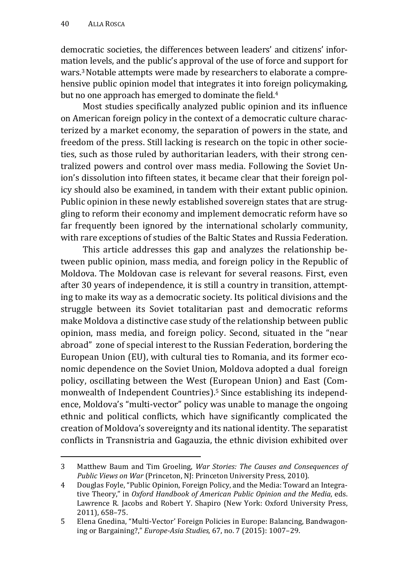democratic societies, the differences between leaders' and citizens' information levels, and the public's approval of the use of force and support for wars.3 Notable attempts were made by researchers to elaborate a comprehensive public opinion model that integrates it into foreign policymaking, but no one approach has emerged to dominate the field.<sup>4</sup>

Most studies specifically analyzed public opinion and its influence on American foreign policy in the context of a democratic culture characterized by a market economy, the separation of powers in the state, and freedom of the press. Still lacking is research on the topic in other societies, such as those ruled by authoritarian leaders, with their strong centralized powers and control over mass media. Following the Soviet Union's dissolution into fifteen states, it became clear that their foreign policy should also be examined, in tandem with their extant public opinion. Public opinion in these newly established sovereign states that are struggling to reform their economy and implement democratic reform have so far frequently been ignored by the international scholarly community, with rare exceptions of studies of the Baltic States and Russia Federation.

This article addresses this gap and analyzes the relationship between public opinion, mass media, and foreign policy in the Republic of Moldova. The Moldovan case is relevant for several reasons. First, even after 30 years of independence, it is still a country in transition, attempting to make its way as a democratic society. Its political divisions and the struggle between its Soviet totalitarian past and democratic reforms make Moldova a distinctive case study of the relationship between public opinion, mass media, and foreign policy. Second, situated in the "near abroad" zone of special interest to the Russian Federation, bordering the European Union (EU), with cultural ties to Romania, and its former economic dependence on the Soviet Union, Moldova adopted a dual foreign policy, oscillating between the West (European Union) and East (Commonwealth of Independent Countries).5 Since establishing its independence, Moldova's "multi-vector" policy was unable to manage the ongoing ethnic and political conflicts, which have significantly complicated the creation of Moldova's sovereignty and its national identity. The separatist conflicts in Transnistria and Gagauzia, the ethnic division exhibited over

<sup>3</sup> Matthew Baum and Tim Groeling, *War Stories: The Causes and Consequences of Public Views on War* (Princeton, NJ: Princeton University Press, 2010).

<sup>4</sup> Douglas Foyle, "Public Opinion, Foreign Policy, and the Media: Toward an Integrative Theory," in *Oxford Handbook of American Public Opinion and the Media*, eds. Lawrence R. Jacobs and Robert Y. Shapiro (New York: Oxford University Press, 2011), 658–75.

<sup>5</sup> Elena Gnedina, "Multi-Vector' Foreign Policies in Europe: Balancing, Bandwagoning or Bargaining?," *Europe-Asia Studies,* 67, no. 7 (2015): 1007–29.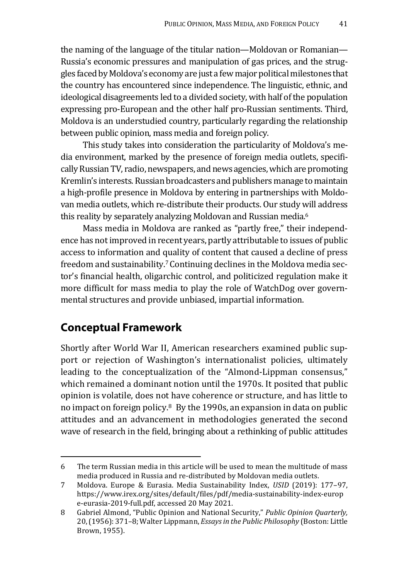the naming of the language of the titular nation—Moldovan or Romanian— Russia's economic pressures and manipulation of gas prices, and the struggles faced by Moldova's economy are just a few major political milestones that the country has encountered since independence. The linguistic, ethnic, and ideological disagreements led to a divided society, with half of the population expressing pro-European and the other half pro-Russian sentiments. Third, Moldova is an understudied country, particularly regarding the relationship between public opinion, mass media and foreign policy.

This study takes into consideration the particularity of Moldova's media environment, marked by the presence of foreign media outlets, specifically Russian TV, radio, newspapers, and news agencies, which are promoting Kremlin's interests. Russian broadcasters and publishers manage to maintain a high-profile presence in Moldova by entering in partnerships with Moldovan media outlets, which re-distribute their products. Our study will address this reality by separately analyzing Moldovan and Russian media. 6

Mass media in Moldova are ranked as "partly free," their independence has not improved in recent years, partly attributable to issues of public access to information and quality of content that caused a decline of press freedom and sustainability.7 Continuing declines in the Moldova media sector's financial health, oligarchic control, and politicized regulation make it more difficult for mass media to play the role of WatchDog over governmental structures and provide unbiased, impartial information.

#### **Conceptual Framework**

Shortly after World War II, American researchers examined public support or rejection of Washington's internationalist policies, ultimately leading to the conceptualization of the "Almond-Lippman consensus," which remained a dominant notion until the 1970s. It posited that public opinion is volatile, does not have coherence or structure, and has little to no impact on foreign policy.8 By the 1990s, an expansion in data on public attitudes and an advancement in methodologies generated the second wave of research in the field, bringing about a rethinking of public attitudes

<sup>6</sup> The term Russian media in this article will be used to mean the multitude of mass media produced in Russia and re-distributed by Moldovan media outlets.

<sup>7</sup> Moldova. Europe & Eurasia. Media Sustainability Index, *USID* (2019): 177–97, https://www.irex.org/sites/default/files/pdf/media-sustainability-index-europ e-eurasia-2019-full.pdf, accessed 20 May 2021.

<sup>8</sup> Gabriel Almond, "Public Opinion and National Security," *Public Opinion Quarterly,* 20, (1956): 371–8; Walter Lippmann, *Essays in the Public Philosophy* (Boston: Little Brown, 1955).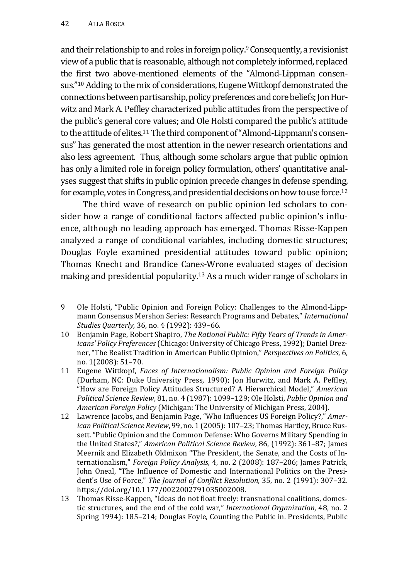and their relationship to and roles in foreign policy.<sup>9</sup> Consequently, a revisionist view of a public that is reasonable, although not completely informed, replaced the first two above-mentioned elements of the "Almond-Lippman consensus."10 Adding to the mix of considerations, Eugene Wittkopf demonstrated the connections between partisanship, policy preferences and core beliefs; Jon Hurwitz and Mark A. Peffley characterized public attitudes from the perspective of the public's general core values; and Ole Holsti compared the public's attitude to the attitude of elites.<sup>11</sup> The third component of "Almond-Lippmann's consensus" has generated the most attention in the newer research orientations and also less agreement. Thus, although some scholars argue that public opinion has only a limited role in foreign policy formulation, others' quantitative analyses suggest that shifts in public opinion precede changes in defense spending, for example, votes in Congress, and presidential decisions on how to use force.12

The third wave of research on public opinion led scholars to consider how a range of conditional factors affected public opinion's influence, although no leading approach has emerged. Thomas Risse-Kappen analyzed a range of conditional variables, including domestic structures; Douglas Foyle examined presidential attitudes toward public opinion; Thomas Knecht and Brandice Canes-Wrone evaluated stages of decision making and presidential popularity.13 As a much wider range of scholars in

<sup>9</sup> Ole Holsti, "Public Opinion and Foreign Policy: Challenges to the Almond-Lippmann Consensus Mershon Series: Research Programs and Debates," *International Studies Quarterly,* 36, no. 4 (1992): 439–66.

<sup>10</sup> Benjamin Page, Robert Shapiro, *The Rational Public: Fifty Years of Trends in Americans' Policy Preferences* (Chicago: University of Chicago Press, 1992); Daniel Drezner, "The Realist Tradition in American Public Opinion," *Perspectives on Politics*, 6, no. 1(2008): 51–70.

<sup>11</sup> Eugene Wittkopf, *Faces of Internationalism: Public Opinion and Foreign Policy* (Durham, NC: Duke University Press, 1990); Jon Hurwitz, and Mark A. Peffley, "How are Foreign Policy Attitudes Structured? A Hierarchical Model," *American Political Science Review*, 81, no. 4 (1987): 1099–129; Ole Holsti, *Public Opinion and American Foreign Policy* (Michigan: The University of Michigan Press, 2004).

<sup>12</sup> Lawrence Jacobs, and Benjamin Page, "Who Influences US Foreign Policy?," *American Political Science Review*, 99, no. 1 (2005): 107–23; Thomas Hartley, Bruce Russett. "Public Opinion and the Common Defense: Who Governs Military Spending in the United States?," *American Political Science Review,* 86, (1992): 361–87; James Meernik and Elizabeth Oldmixon "The President, the Senate, and the Costs of Internationalism," *Foreign Policy Analysis,* 4, no. 2 (2008): 187–206; James Patrick, John Oneal, "The Influence of Domestic and International Politics on the President's Use of Force," *The Journal of Conflict Resolution,* 35, no. 2 (1991): 307–32. https://doi.org/10.1177/0022002791035002008.

<sup>13</sup> Thomas Risse-Kappen, "Ideas do not float freely: transnational coalitions, domestic structures, and the end of the cold war," *International Organization*, 48, no. 2 Spring 1994): 185–214; Douglas Foyle, Counting the Public in. Presidents, Public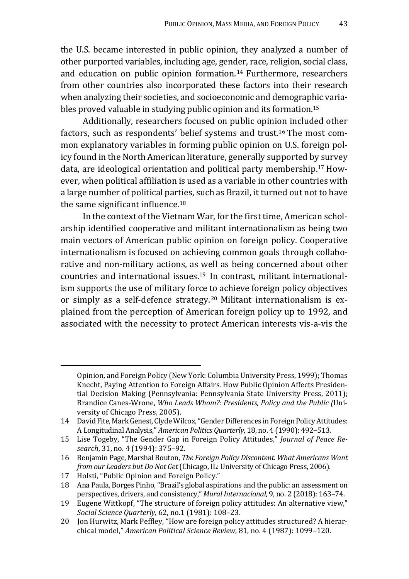the U.S. became interested in public opinion, they analyzed a number of other purported variables, including age, gender, race, religion, social class, and education on public opinion formation. 14 Furthermore, researchers from other countries also incorporated these factors into their research when analyzing their societies, and socioeconomic and demographic variables proved valuable in studying public opinion and its formation.15

Additionally, researchers focused on public opinion included other factors, such as respondents' belief systems and trust.16 The most common explanatory variables in forming public opinion on U.S. foreign policy found in the North American literature, generally supported by survey data, are ideological orientation and political party membership.17 However, when political affiliation is used as a variable in other countries with a large number of political parties, such as Brazil, it turned out not to have the same significant influence. $18$ 

In the context of the Vietnam War, for the first time, American scholarship identified cooperative and militant internationalism as being two main vectors of American public opinion on foreign policy. Cooperative internationalism is focused on achieving common goals through collaborative and non-military actions, as well as being concerned about other countries and international issues.19 In contrast, militant internationalism supports the use of military force to achieve foreign policy objectives or simply as a self-defence strategy. 20 Militant internationalism is explained from the perception of American foreign policy up to 1992, and associated with the necessity to protect American interests vis-a-vis the

Opinion, and Foreign Policy (New York: Columbia University Press, 1999); Thomas Knecht, Paying Attention to Foreign Affairs. How Public Opinion Affects Presidential Decision Making (Pennsylvania: Pennsylvania State University Press, 2011); Brandice Canes-Wrone, *Who Leads Whom?: Presidents, Policy and the Public (*University of Chicago Press, 2005).

<sup>14</sup> David Fite, Mark Genest, Clyde Wilcox, "Gender Differences in Foreign Policy Attitudes: A Longitudinal Analysis," *American Politics Quarterly*, 18, no. 4 (1990): 492–513.

<sup>15</sup> Lise Togeby, "The Gender Gap in Foreign Policy Attitudes," *Journal of Peace Research*, 31, no. 4 (1994): 375–92.

<sup>16</sup> Benjamin Page, Marshal Bouton, *The Foreign Policy Discontent. What Americans Want from our Leaders but Do Not Get* (Chicago, IL: University of Chicago Press, 2006).

<sup>17</sup> Holsti, "Public Opinion and Foreign Policy."

<sup>18</sup> Ana Paula, Borges Pinho, "Brazil's global aspirations and the public: an assessment on perspectives, drivers, and consistency," *Mural Internacional*, 9, no. 2 (2018): 163–74.

<sup>19</sup> Eugene Wittkopf, "The structure of foreign policy attitudes: An alternative view," *Social Science Quarterly,* 62, no.1 (1981): 108–23.

<sup>20</sup> Jon Hurwitz, Mark Peffley, "How are foreign policy attitudes structured? A hierarchical model," *American Political Science Review*, 81, no. 4 (1987): 1099–120.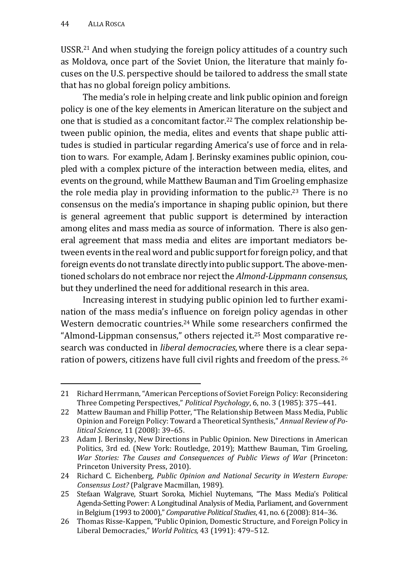USSR.21 And when studying the foreign policy attitudes of a country such as Moldova, once part of the Soviet Union, the literature that mainly focuses on the U.S. perspective should be tailored to address the small state that has no global foreign policy ambitions.

The media's role in helping create and link public opinion and foreign policy is one of the key elements in American literature on the subject and one that is studied as a concomitant factor.22 The complex relationship between public opinion, the media, elites and events that shape public attitudes is studied in particular regarding America's use of force and in relation to wars. For example, Adam J. Berinsky examines public opinion, coupled with a complex picture of the interaction between media, elites, and events on the ground, while Matthew Bauman and Tim Groeling emphasize the role media play in providing information to the public.23 There is no consensus on the media's importance in shaping public opinion, but there is general agreement that public support is determined by interaction among elites and mass media as source of information. There is also general agreement that mass media and elites are important mediators between events in the real word and public support for foreign policy, and that foreign events do not translate directly into public support. The above-mentioned scholars do not embrace nor reject the *Almond-Lippmann consensus*, but they underlined the need for additional research in this area.

Increasing interest in studying public opinion led to further examination of the mass media's influence on foreign policy agendas in other Western democratic countries.24 While some researchers confirmed the "Almond-Lippman consensus," others rejected it.25 Most comparative research was conducted in *liberal democracies*,where there is a clear separation of powers, citizens have full civil rights and freedom of the press. 26

<sup>21</sup> Richard Herrmann, "American Perceptions of Soviet Foreign Policy: Reconsidering Three Competing Perspectives," *Political Psychology*, 6, no. 3 (1985): 375–441.

<sup>22</sup> Mattew Bauman and Fhillip Potter, "The Relationship Between Mass Media, Public Opinion and Foreign Policy: Toward a Theoretical Synthesis," *Annual Review of Political Science,* 11 (2008): 39–65.

<sup>23</sup> Adam J. Berinsky, New Directions in Public Opinion. New Directions in American Politics, 3rd ed. (New York: Routledge, 2019); Matthew Bauman, Tim Groeling, *War Stories: The Causes and Consequences of Public Views of War* (Princeton: Princeton University Press, 2010).

<sup>24</sup> Richard C. Eichenberg, *Public Opinion and National Security in Western Europe: Consensus Lost?* (Palgrave Macmillan, 1989).

<sup>25</sup> Stefaan Walgrave, Stuart Soroka, Michiel Nuytemans, "The Mass Media's Political Agenda-Setting Power: A Longitudinal Analysis of Media, Parliament, and Government in Belgium (1993 to 2000)," *Comparative Political Studies*, 41, no. 6 (2008): 814–36.

<sup>26</sup> Thomas Risse-Kappen, "Public Opinion, Domestic Structure, and Foreign Policy in Liberal Democracies," *World Politics,* 43 (1991): 479–512.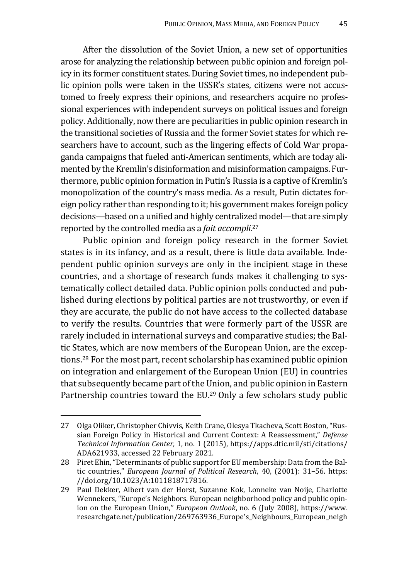After the dissolution of the Soviet Union, a new set of opportunities arose for analyzing the relationship between public opinion and foreign policy in its former constituent states. During Soviet times, no independent public opinion polls were taken in the USSR's states, citizens were not accustomed to freely express their opinions, and researchers acquire no professional experiences with independent surveys on political issues and foreign policy. Additionally, now there are peculiarities in public opinion research in the transitional societies of Russia and the former Soviet states for which researchers have to account, such as the lingering effects of Cold War propaganda campaigns that fueled anti-American sentiments, which are today alimented by the Kremlin's disinformation and misinformation campaigns. Furthermore, public opinion formation in Putin's Russia is a captive of Kremlin's monopolization of the country's mass media. As a result, Putin dictates foreign policy rather than responding to it; his government makes foreign policy decisions—based on a unified and highly centralized model—that are simply reported by the controlled media as a *fait accompli*. 27

Public opinion and foreign policy research in the former Soviet states is in its infancy, and as a result, there is little data available. Independent public opinion surveys are only in the incipient stage in these countries, and a shortage of research funds makes it challenging to systematically collect detailed data. Public opinion polls conducted and published during elections by political parties are not trustworthy, or even if they are accurate, the public do not have access to the collected database to verify the results. Countries that were formerly part of the USSR are rarely included in international surveys and comparative studies; the Baltic States, which are now members of the European Union, are the exceptions.28 For the most part, recent scholarship has examined public opinion on integration and enlargement of the European Union (EU) in countries that subsequently became part of the Union, and public opinion in Eastern Partnership countries toward the EU.<sup>29</sup> Only a few scholars study public

<sup>27</sup> Olga Oliker, Christopher Chivvis, Keith Crane, Olesya Tkacheva, Scott Boston, "Russian Foreign Policy in Historical and Current Context: A Reassessment," *Defense Technical Information Center*, 1, no. 1 (2015), https://apps.dtic.mil/sti/citations/ ADA621933, accessed 22 February 2021.

<sup>28</sup> Piret Ehin, "Determinants of public support for EU membership: Data from the Baltic countries," *European Journal of Political Research*, 40, (2001): 31–56. https: //doi.org/10.1023/A:1011818717816.

<sup>29</sup> Paul Dekker, Albert van der Horst, Suzanne Kok, Lonneke van Noije, Charlotte Wennekers, "Europe's Neighbors. European neighborhood policy and public opinion on the European Union," *European Outlook*, no. 6 (July 2008), https://www. researchgate.net/publication/269763936\_Europe's\_Neighbours\_European\_neigh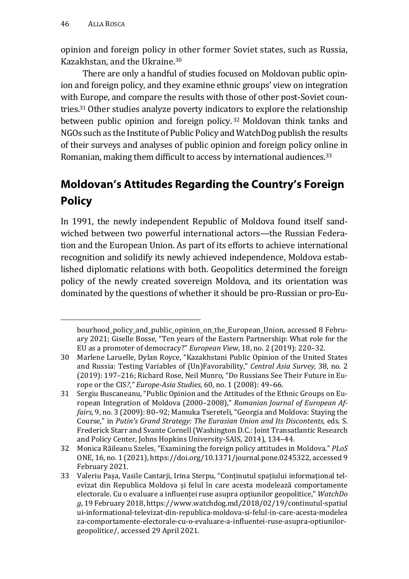opinion and foreign policy in other former Soviet states, such as Russia, Kazakhstan, and the Ukraine.30

There are only a handful of studies focused on Moldovan public opinion and foreign policy, and they examine ethnic groups' view on integration with Europe, and compare the results with those of other post-Soviet countries.31 Other studies analyze poverty indicators to explore the relationship between public opinion and foreign policy. 32 Moldovan think tanks and NGOs such as the Institute of Public Policy and WatchDog publish the results of their surveys and analyses of public opinion and foreign policy online in Romanian, making them difficult to access by international audiences.<sup>33</sup>

# **Moldovan's Attitudes Regarding the Country's Foreign Policy**

In 1991, the newly independent Republic of Moldova found itself sandwiched between two powerful international actors—the Russian Federation and the European Union. As part of its efforts to achieve international recognition and solidify its newly achieved independence, Moldova established diplomatic relations with both. Geopolitics determined the foreign policy of the newly created sovereign Moldova, and its orientation was dominated by the questions of whether it should be pro-Russian or pro-Eu-

bourhood\_policy\_and\_public\_opinion\_on\_the\_European\_Union, accessed 8 February 2021; Giselle Bosse, "Ten years of the Eastern Partnership: What role for the EU as a promoter of democracy?" *European View*, 18, no. 2 (2019): 220–32.

<sup>30</sup> Marlene Laruelle, Dylan Royce, "Kazakhstani Public Opinion of the United States and Russia: Testing Variables of (Un)Favorability," *Central Asia Survey,* 38, no. 2 (2019): 197–216; Richard Rose, Neil Munro, "Do Russians See Their Future in Europe or the CIS*?*,*" Europe-Asia Studies,* 60, no. 1 (2008): 49–66.

<sup>31</sup> Sergiu Buscaneanu, "Public Opinion and the Attitudes of the Ethnic Groups on European Integration of Moldova (2000–2008)," *Romanian Journal of European Affairs*, 9, no. 3 (2009): 80–92; Mamuka Tsereteli, "Georgia and Moldova: Staying the Course," in *Putin's Grand Strategy: The Eurasian Union and Its Discontents,* eds. S. Frederick Starr and Svante Cornell (Washington D.C.: Joint Transatlantic Research and Policy Center, Johns Hopkins University-SAIS, 2014), 134–44.

<sup>32</sup> Monica Răileanu Szeles, "Examining the foreign policy attitudes in Moldova." *PLoS*  ONE, 16, no. 1 (2021), https://doi.org/10.1371/journal.pone.0245322, accessed 9 February 2021.

<sup>33</sup> Valeriu Pașa, Vasile Cantarji, Irina Sterpu, "Conținutul spațiului informațional televizat din Republica Moldova și felul în care acesta modelează comportamente electorale. Cu o evaluare a influenței ruse asupra opțiunilor geopolitice," *WatchDo g*, 19 February 2018, https://www.watchdog.md/2018/02/19/continutul-spatiul ui-informational-televizat-din-republica-moldova-si-felul-in-care-acesta-modelea za-comportamente-electorale-cu-o-evaluare-a-influentei-ruse-asupra-optiunilorgeopolitice/, accessed 29 April 2021.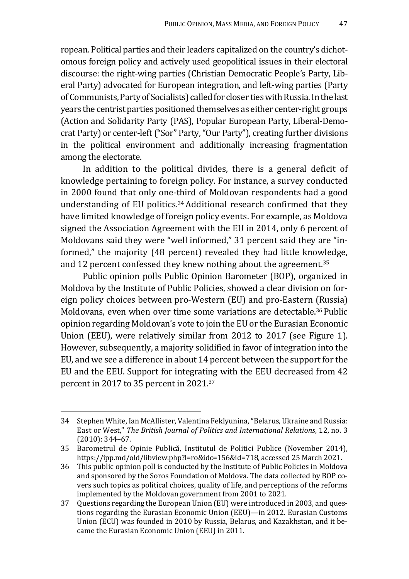ropean. Political parties and their leaders capitalized on the country's dichotomous foreign policy and actively used geopolitical issues in their electoral discourse: the right-wing parties (Christian Democratic People's Party, Liberal Party) advocated for European integration, and left-wing parties (Party of Communists, Party of Socialists) called for closer ties with Russia. In the last years the centrist parties positioned themselves as either center-right groups (Action and Solidarity Party (PAS), Popular European Party, Liberal-Democrat Party) or center-left ("Sor" Party, "Our Party"), creating further divisions in the political environment and additionally increasing fragmentation among the electorate.

In addition to the political divides, there is a general deficit of knowledge pertaining to foreign policy. For instance, a survey conducted in 2000 found that only one-third of Moldovan respondents had a good understanding of EU politics.<sup>34</sup> Additional research confirmed that they have limited knowledge of foreign policy events. For example, as Moldova signed the Association Agreement with the EU in 2014, only 6 percent of Moldovans said they were "well informed," 31 percent said they are "informed," the majority (48 percent) revealed they had little knowledge, and 12 percent confessed they knew nothing about the agreement.<sup>35</sup>

Public opinion polls Public Opinion Barometer (BOP), organized in Moldova by the Institute of Public Policies, showed a clear division on foreign policy choices between pro-Western (EU) and pro-Eastern (Russia) Moldovans, even when over time some variations are detectable.36 Public opinion regarding Moldovan's vote to join the EU or the Eurasian Economic Union (EEU), were relatively similar from 2012 to 2017 (see Figure 1). However, subsequently, a majority solidified in favor of integration into the EU, and we see a difference in about 14 percent between the support for the EU and the EEU. Support for integrating with the EEU decreased from 42 percent in 2017 to 35 percent in 2021.37

<sup>34</sup> Stephen White, Ian McAllister, Valentina Feklyunina, "Belarus, Ukraine and Russia: East or West," *The British Journal of Politics and International Relations*, 12, no. 3 (2010): 344–67.

<sup>35</sup> Barometrul de Opinie Publică, Institutul de Politici Publice (November 2014), https://ipp.md/old/libview.php?l=ro&idc=156&id=718, accessed 25 March 2021.

<sup>36</sup> This public opinion poll is conducted by the Institute of Public Policies in Moldova and sponsored by the Soros Foundation of Moldova. The data collected by BOP covers such topics as political choices, quality of life, and perceptions of the reforms implemented by the Moldovan government from 2001 to 2021.

<sup>37</sup> Questions regarding the European Union (EU) were introduced in 2003, and questions regarding the Eurasian Economic Union (EEU)—in 2012. Eurasian Customs Union (ECU) was founded in 2010 by Russia, Belarus, and Kazakhstan, and it became the Eurasian Economic Union (EEU) in 2011.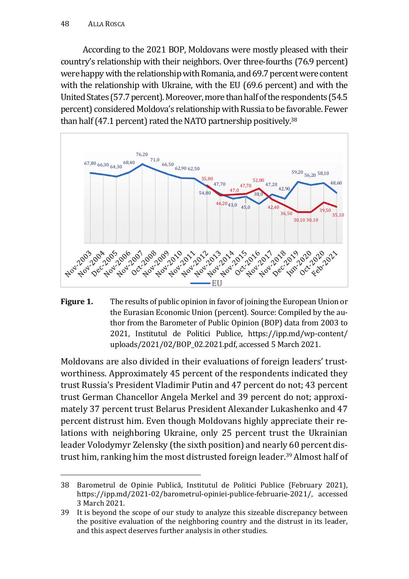According to the 2021 BOP, Moldovans were mostly pleased with their country's relationship with their neighbors. Over three-fourths (76.9 percent) were happy with the relationship with Romania, and 69.7 percent were content with the relationship with Ukraine, with the EU (69.6 percent) and with the United States (57.7 percent). Moreover, more than half of the respondents (54.5 percent) considered Moldova's relationship with Russia to be favorable. Fewer than half (47.1 percent) rated the NATO partnership positively.<sup>38</sup>



**Figure 1.** The results of public opinion in favor of joining the European Union or the Eurasian Economic Union (percent). Source: Compiled by the author from the Barometer of Public Opinion (BOP) data from 2003 to 2021, Institutul de Politici Publice, https://ipp.md/wp-content/ uploads/2021/02/BOP\_02.2021.pdf, accessed 5 March 2021.

Moldovans are also divided in their evaluations of foreign leaders' trustworthiness. Approximately 45 percent of the respondents indicated they trust Russia's President Vladimir Putin and 47 percent do not; 43 percent trust German Chancellor Angela Merkel and 39 percent do not; approximately 37 percent trust Belarus President Alexander Lukashenko and 47 percent distrust him. Even though Moldovans highly appreciate their relations with neighboring Ukraine, only 25 percent trust the Ukrainian leader Volodymyr Zelensky (the sixth position) and nearly 60 percent distrust him, ranking him the most distrusted foreign leader.39 Almost half of

<sup>38</sup> Barometrul de Opinie Publică, Institutul de Politici Publice (February 2021), https://ipp.md/2021-02/barometrul-opiniei-publice-februarie-2021/, accessed 3 March 2021.

<sup>39</sup> It is beyond the scope of our study to analyze this sizeable discrepancy between the positive evaluation of the neighboring country and the distrust in its leader, and this aspect deserves further analysis in other studies.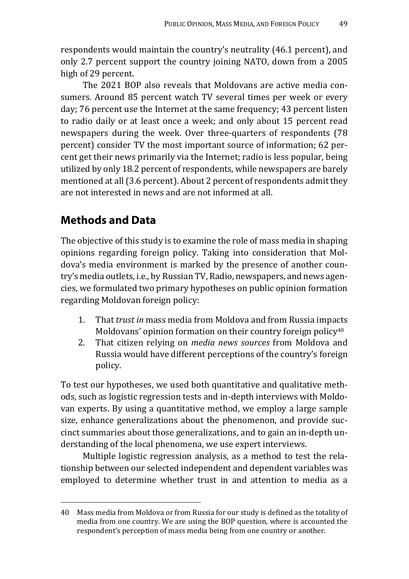respondents would maintain the country's neutrality (46.1 percent), and only 2.7 percent support the country joining NATO, down from a 2005 high of 29 percent.

The 2021 BOP also reveals that Moldovans are active media consumers. Around 85 percent watch TV several times per week or every day; 76 percent use the Internet at the same frequency; 43 percent listen to radio daily or at least once a week; and only about 15 percent read newspapers during the week. Over three-quarters of respondents (78 percent) consider TV the most important source of information; 62 percent get their news primarily via the Internet; radio is less popular, being utilized by only 18.2 percent of respondents, while newspapers are barely mentioned at all (3.6 percent). About 2 percent of respondents admit they are not interested in news and are not informed at all.

## **Methods and Data**

The objective of this study is to examine the role of mass media in shaping opinions regarding foreign policy. Taking into consideration that Moldova's media environment is marked by the presence of another country's media outlets, i.e., by Russian TV, Radio, newspapers, and news agencies, we formulated two primary hypotheses on public opinion formation regarding Moldovan foreign policy:

- 1. That *trust in* mass media from Moldova and from Russia impacts Moldovans' opinion formation on their country foreign policy<sup>40</sup>
- 2. That citizen relying on *media news sources* from Moldova and Russia would have different perceptions of the country's foreign policy.

To test our hypotheses, we used both quantitative and qualitative methods, such as logistic regression tests and in-depth interviews with Moldovan experts. By using a quantitative method, we employ a large sample size, enhance generalizations about the phenomenon, and provide succinct summaries about those generalizations, and to gain an in-depth understanding of the local phenomena, we use expert interviews.

Multiple logistic regression analysis, as a method to test the relationship between our selected independent and dependent variables was employed to determine whether trust in and attention to media as a

<sup>40</sup> Mass media from Moldova or from Russia for our study is defined as the totality of media from one country. We are using the BOP question, where is accounted the respondent's perception of mass media being from one country or another.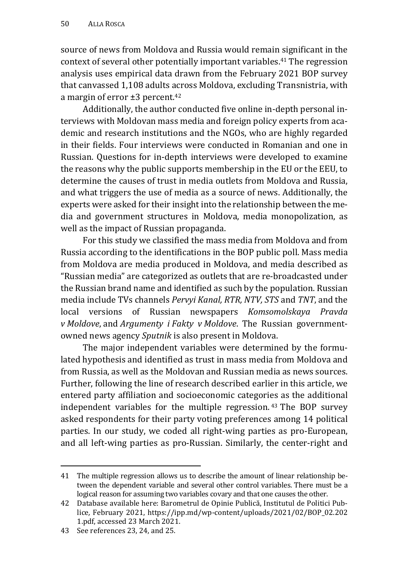source of news from Moldova and Russia would remain significant in the context of several other potentially important variables.41 The regression analysis uses empirical data drawn from the February 2021 BOP survey that canvassed 1,108 adults across Moldova, excluding Transnistria, with a margin of error ±3 percent.42

Additionally, the author conducted five online in-depth personal interviews with Moldovan mass media and foreign policy experts from academic and research institutions and the NGOs, who are highly regarded in their fields. Four interviews were conducted in Romanian and one in Russian. Questions for in-depth interviews were developed to examine the reasons why the public supports membership in the EU or the EEU, to determine the causes of trust in media outlets from Moldova and Russia, and what triggers the use of media as a source of news. Additionally, the experts were asked for their insight into the relationship between the media and government structures in Moldova, media monopolization, as well as the impact of Russian propaganda.

For this study we classified the mass media from Moldova and from Russia according to the identifications in the BOP public poll. Mass media from Moldova are media produced in Moldova, and media described as "Russian media" are categorized as outlets that are re-broadcasted under the Russian brand name and identified as such by the population. Russian media include TVs channels *Pervyi Kanal, RTR, NTV, STS* and *TNT*, and the local versions of Russian newspapers *Komsomolskaya Pravda v Moldove*, and *Argumenty i Fakty v Moldove*. The Russian governmentowned news agency *Sputnik* is also present in Moldova.

The major independent variables were determined by the formulated hypothesis and identified as trust in mass media from Moldova and from Russia, as well as the Moldovan and Russian media as news sources. Further, following the line of research described earlier in this article, we entered party affiliation and socioeconomic categories as the additional independent variables for the multiple regression. 43 The BOP survey asked respondents for their party voting preferences among 14 political parties. In our study, we coded all right-wing parties as pro-European, and all left-wing parties as pro-Russian. Similarly, the center-right and

<sup>41</sup> The multiple regression allows us to describe the amount of linear relationship between the dependent variable and several other control variables. There must be a logical reason for assuming two variables covary and that one causes the other.

<sup>42</sup> Database available here: Barometrul de Opinie Publică, Institutul de Politici Publice*,* February 2021, https://ipp.md/wp-content/uploads/2021/02/BOP\_02.202 1.pdf, accessed 23 March 2021.

<sup>43</sup> See references 23, 24, and 25.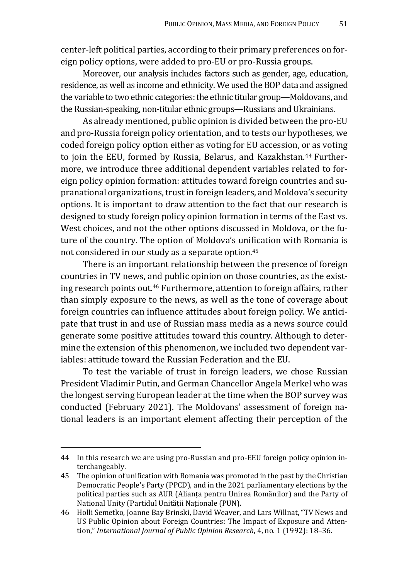center-left political parties, according to their primary preferences on foreign policy options, were added to pro-EU or pro-Russia groups.

Moreover, our analysis includes factors such as gender, age, education, residence, as well as income and ethnicity. We used the BOP data and assigned the variable to two ethnic categories: the ethnic titular group—Moldovans, and the Russian-speaking, non-titular ethnic groups—Russians and Ukrainians.

As already mentioned, public opinion is divided between the pro-EU and pro-Russia foreign policy orientation, and to tests our hypotheses, we coded foreign policy option either as voting for EU accession, or as voting to join the EEU, formed by Russia, Belarus, and Kazakhstan.<sup>44</sup> Furthermore, we introduce three additional dependent variables related to foreign policy opinion formation: attitudes toward foreign countries and supranational organizations, trust in foreign leaders, and Moldova's security options. It is important to draw attention to the fact that our research is designed to study foreign policy opinion formation in terms of the East vs. West choices, and not the other options discussed in Moldova, or the future of the country. The option of Moldova's unification with Romania is not considered in our study as a separate option.45

There is an important relationship between the presence of foreign countries in TV news, and public opinion on those countries, as the existing research points out.46 Furthermore, attention to foreign affairs, rather than simply exposure to the news, as well as the tone of coverage about foreign countries can influence attitudes about foreign policy. We anticipate that trust in and use of Russian mass media as a news source could generate some positive attitudes toward this country. Although to determine the extension of this phenomenon, we included two dependent variables: attitude toward the Russian Federation and the EU.

To test the variable of trust in foreign leaders, we chose Russian President Vladimir Putin, and German Chancellor Angela Merkel who was the longest serving European leader at the time when the BOP survey was conducted (February 2021). The Moldovans' assessment of foreign national leaders is an important element affecting their perception of the

<sup>44</sup> In this research we are using pro-Russian and pro-EEU foreign policy opinion interchangeably.

<sup>45</sup> The opinion of unification with Romania was promoted in the past by the Christian Democratic People's Party (PPCD), and in the 2021 parliamentary elections by the political parties such as AUR (Alianța pentru Unirea Romănilor) and the Party of National Unity (Partidul Unității Naționale (PUN).

<sup>46</sup> Holli Semetko, Joanne Bay Brinski, David Weaver, and Lars Willnat, "TV News and US Public Opinion about Foreign Countries: The Impact of Exposure and Attention," *International Journal of Public Opinion Research*, 4, no. 1 (1992): 18–36.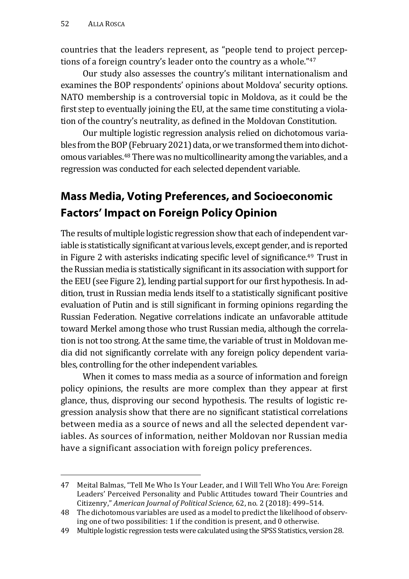countries that the leaders represent, as "people tend to project perceptions of a foreign country's leader onto the country as a whole."<sup>47</sup>

Our study also assesses the country's militant internationalism and examines the BOP respondents' opinions about Moldova' security options. NATO membership is a controversial topic in Moldova, as it could be the first step to eventually joining the EU, at the same time constituting a violation of the country's neutrality, as defined in the Moldovan Constitution.

Our multiple logistic regression analysis relied on dichotomous variables from the BOP (February 2021) data, or we transformed them into dichotomous variables.48 There was no multicollinearity among the variables, and a regression was conducted for each selected dependent variable.

# **Mass Media, Voting Preferences, and Socioeconomic Factors' Impact on Foreign Policy Opinion**

The results of multiple logistic regression show that each of independent variable is statistically significant at various levels, except gender, and is reported in Figure 2 with asterisks indicating specific level of significance.<sup>49</sup> Trust in the Russian media is statistically significant in its association with support for the EEU (see Figure 2), lending partial support for our first hypothesis. In addition, trust in Russian media lends itself to a statistically significant positive evaluation of Putin and is still significant in forming opinions regarding the Russian Federation. Negative correlations indicate an unfavorable attitude toward Merkel among those who trust Russian media, although the correlation is not too strong. At the same time, the variable of trust in Moldovan media did not significantly correlate with any foreign policy dependent variables, controlling for the other independent variables.

When it comes to mass media as a source of information and foreign policy opinions, the results are more complex than they appear at first glance, thus, disproving our second hypothesis. The results of logistic regression analysis show that there are no significant statistical correlations between media as a source of news and all the selected dependent variables. As sources of information, neither Moldovan nor Russian media have a significant association with foreign policy preferences.

<sup>47</sup> Meital Balmas, "Tell Me Who Is Your Leader, and I Will Tell Who You Are: Foreign Leaders' Perceived Personality and Public Attitudes toward Their Countries and Citizenry," *American Journal of Political Science,* 62, no. 2 (2018): 499–514.

<sup>48</sup> The dichotomous variables are used as a model to predict the likelihood of observing one of two possibilities: 1 if the condition is present, and 0 otherwise.

<sup>49</sup> Multiple logistic regression tests were calculated using the SPSS Statistics, version 28.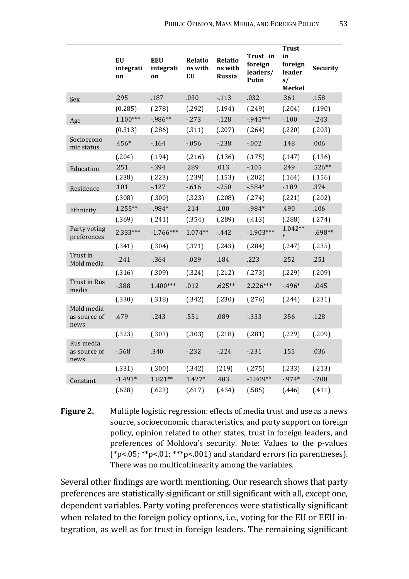|                                    | EU<br>integrati<br>on | <b>EEU</b><br>integrati<br>on | <b>Relatio</b><br>ns with<br>EU | <b>Relatio</b><br>ns with<br>Russia | Trust in<br>foreign<br>leaders/<br>Putin | <b>Trust</b><br>in<br>foreign<br>leader<br>s/<br>Merkel | Security |
|------------------------------------|-----------------------|-------------------------------|---------------------------------|-------------------------------------|------------------------------------------|---------------------------------------------------------|----------|
| Sex                                | .295                  | .187                          | .030                            | $-113$                              | .032                                     | .361                                                    | .158     |
|                                    | (0.285)               | (.278)                        | (.292)                          | (.194)                              | (.249)                                   | (.204)                                                  | (.190)   |
| Age                                | $1.100***$            | $-986**$                      | $-273$                          | $-128$                              | $-945***$                                | $-100$                                                  | $-243$   |
|                                    | (0.313)               | (.286)                        | (.311)                          | (.207)                              | (.264)                                   | (.220)                                                  | (.203)   |
| Socioecono<br>mic status           | .456*                 | $-164$                        | $-0.056$                        | $-238$                              | $-.002$                                  | .148                                                    | .006     |
|                                    | (.204)                | (.194)                        | (.216)                          | (.136)                              | (.175)                                   | (.147)                                                  | (.136)   |
| Education                          | .251                  | $-394$                        | .289                            | .013                                | $-105$                                   | .249                                                    | $.526**$ |
|                                    | (.238)                | (.223)                        | (.239)                          | (.153)                              | (.202)                                   | (.164)                                                  | (.156)   |
| Residence                          | .101                  | $-127$                        | $-616$                          | $-250$                              | $-584*$                                  | $-189$                                                  | .374     |
|                                    | (.308)                | (.300)                        | (.323)                          | (.208)                              | (.274)                                   | (.221)                                                  | (.202)   |
| Ethnicity                          | $1.255***$            | $-984*$                       | .214                            | .100                                | $-984*$                                  | .490                                                    | .106     |
|                                    | (.369)                | (.241)                        | (.354)                          | (.289)                              | (.413)                                   | (.288)                                                  | (.274)   |
| Party voting<br>preferences        | 2.333***              | $-1.766***$                   | $1.074**$                       | $-442$                              | $-1.903***$                              | $1.042**$<br>$\ast$                                     | $-698**$ |
|                                    | (.341)                | (.304)                        | (.371)                          | (.243)                              | (.284)                                   | (.247)                                                  | (.235)   |
| Trust in<br>Mold media             | $-241$                | $-364$                        | $-0.029$                        | .184                                | .223                                     | .252                                                    | .251     |
|                                    | (.316)                | (.309)                        | (.324)                          | (.212)                              | (.273)                                   | (.229)                                                  | (.209)   |
| Trust in Rus<br>media              | $-388$                | $1.400***$                    | .012                            | $.625**$                            | $2.226***$                               | $-496*$                                                 | $-0.045$ |
|                                    | (.330)                | (.318)                        | (.342)                          | (.230)                              | (.276)                                   | (.244)                                                  | (.231)   |
| Mold media<br>as source of<br>news | .479                  | $-243$                        | .551                            | .089                                | $-333$                                   | .356                                                    | .128     |
|                                    | (.323)                | (.303)                        | (.303)                          | (.218)                              | (.281)                                   | (.229)                                                  | (.209)   |
| Rus media<br>as source of<br>news  | $-568$                | .340                          | $-232$                          | $-224$                              | $-231$                                   | .155                                                    | .036     |
|                                    | (.331)                | (.300)                        | (.342)                          | (219)                               | (.275)                                   | (.233)                                                  | (.213)   |
| Constant                           | $-1.491*$             | 1.821**                       | $1.427*$                        | .403                                | $-1.809**$                               | $-974*$                                                 | $-208$   |
|                                    | (.628)                | (.623)                        | (.617)                          | (.434)                              | (.585)                                   | (.446)                                                  | (411)    |

**Figure 2.** Multiple logistic regression: effects of media trust and use as a news source, socioeconomic characteristics, and party support on foreign policy, opinion related to other states, trust in foreign leaders, and preferences of Moldova's security. Note: Values to the p-values  $(*p<05; **p<01; **p<001)$  and standard errors (in parentheses). There was no multicollinearity among the variables.

Several other findings are worth mentioning. Our research shows that party preferences are statistically significant or still significant with all, except one, dependent variables. Party voting preferences were statistically significant when related to the foreign policy options, i.e., voting for the EU or EEU integration, as well as for trust in foreign leaders. The remaining significant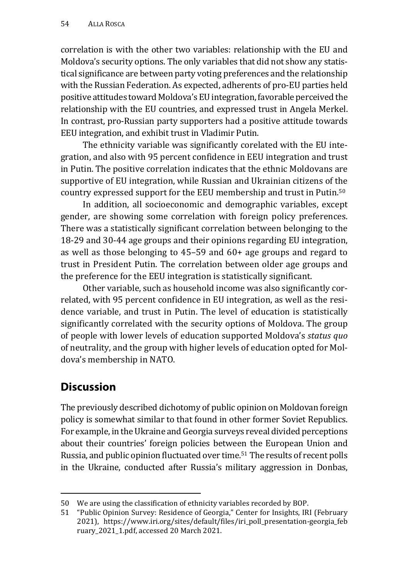correlation is with the other two variables: relationship with the EU and Moldova's security options. The only variables that did not show any statistical significance are between party voting preferences and the relationship with the Russian Federation. As expected, adherents of pro-EU parties held positive attitudes toward Moldova's EU integration, favorable perceived the relationship with the EU countries, and expressed trust in Angela Merkel. In contrast, pro-Russian party supporters had a positive attitude towards EEU integration, and exhibit trust in Vladimir Putin.

The ethnicity variable was significantly corelated with the EU integration, and also with 95 percent confidence in EEU integration and trust in Putin. The positive correlation indicates that the ethnic Moldovans are supportive of EU integration, while Russian and Ukrainian citizens of the country expressed support for the EEU membership and trust in Putin.50

In addition, all socioeconomic and demographic variables, except gender, are showing some correlation with foreign policy preferences. There was a statistically significant correlation between belonging to the 18-29 and 30-44 age groups and their opinions regarding EU integration, as well as those belonging to 45–59 and 60+ age groups and regard to trust in President Putin. The correlation between older age groups and the preference for the EEU integration is statistically significant.

Other variable, such as household income was also significantly correlated, with 95 percent confidence in EU integration, as well as the residence variable, and trust in Putin. The level of education is statistically significantly correlated with the security options of Moldova. The group of people with lower levels of education supported Moldova's *status quo* of neutrality, and the group with higher levels of education opted for Moldova's membership in NATO.

# **Discussion**

The previously described dichotomy of public opinion on Moldovan foreign policy is somewhat similar to that found in other former Soviet Republics. For example, in the Ukraine and Georgia surveys reveal divided perceptions about their countries' foreign policies between the European Union and Russia, and public opinion fluctuated over time.51 The results of recent polls in the Ukraine, conducted after Russia's military aggression in Donbas,

<sup>50</sup> We are using the classification of ethnicity variables recorded by BOP.

<sup>51 &</sup>quot;Public Opinion Survey: Residence of Georgia," Center for Insights, IRI (February 2021), https://www.iri.org/sites/default/files/iri\_poll\_presentation-georgia\_feb ruary\_2021\_1.pdf, accessed 20 March 2021.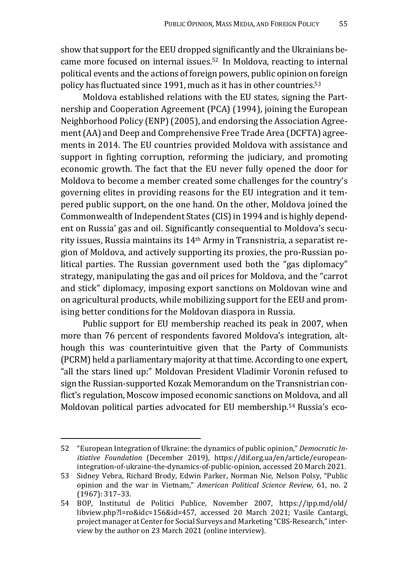show that support for the EEU dropped significantly and the Ukrainians became more focused on internal issues.52 In Moldova, reacting to internal political events and the actions of foreign powers, public opinion on foreign policy has fluctuated since 1991, much as it has in other countries.53

Moldova established relations with the EU states, signing the Partnership and Cooperation Agreement (PCA) (1994), joining the European Neighborhood Policy (ENP) (2005), and endorsing the Association Agreement (AA) and Deep and Comprehensive Free Trade Area (DCFTA) agreements in 2014. The EU countries provided Moldova with assistance and support in fighting corruption, reforming the judiciary, and promoting economic growth. The fact that the EU never fully opened the door for Moldova to become a member created some challenges for the country's governing elites in providing reasons for the EU integration and it tempered public support, on the one hand. On the other, Moldova joined the Commonwealth of Independent States (CIS) in 1994 and is highly dependent on Russia' gas and oil. Significantly consequential to Moldova's security issues, Russia maintains its 14th Army in Transnistria, a separatist region of Moldova, and actively supporting its proxies, the pro-Russian political parties. The Russian government used both the "gas diplomacy" strategy, manipulating the gas and oil prices for Moldova, and the "carrot and stick" diplomacy, imposing export sanctions on Moldovan wine and on agricultural products, while mobilizing support for the EEU and promising better conditions for the Moldovan diaspora in Russia.

Public support for EU membership reached its peak in 2007, when more than 76 percent of respondents favored Moldova's integration, although this was counterintuitive given that the Party of Communists (PCRM) held a parliamentary majority at that time. According to one expert, "all the stars lined up:" Moldovan President Vladimir Voronin refused to sign the Russian-supported Kozak Memorandum on the Transnistrian conflict's regulation, Moscow imposed economic sanctions on Moldova, and all Moldovan political parties advocated for EU membership.54 Russia's eco-

<sup>52 &</sup>quot;European Integration of Ukraine: the dynamics of public opinion," *Democratic Initiative Foundation* (December 2019), https://dif.org.ua/en/article/europeanintegration-of-ukraine-the-dynamics-of-public-opinion, accessed 20 March 2021.

<sup>53</sup> Sidney Vebra, Richard Brody, Edwin Parker, Norman Nie, Nelson Polsy, "Public opinion and the war in Vietnam," *American Political Science Review,* 61, no. 2 (1967): 317–33.

<sup>54</sup> BOP, Institutul de Politici Publice, November 2007, https://ipp.md/old/ libview.php?l=ro&idc=156&id=457, accessed 20 March 2021; Vasile Cantargi, project manager at Center for Social Surveys and Marketing "CBS-Research," interview by the author on 23 March 2021 (online interview).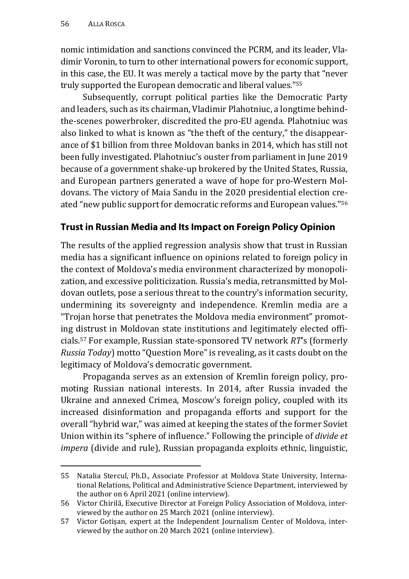nomic intimidation and sanctions convinced the PCRM, and its leader, Vladimir Voronin, to turn to other international powers for economic support, in this case, the EU. It was merely a tactical move by the party that "never truly supported the European democratic and liberal values."55

Subsequently, corrupt political parties like the Democratic Party and leaders, such as its chairman, Vladimir Plahotniuc, a longtime behindthe-scenes powerbroker, discredited the pro-EU agenda. Plahotniuc was also linked to what is known as "the theft of the century," the disappearance of \$1 billion from three Moldovan banks in 2014, which has still not been fully investigated. Plahotniuc's ouster from parliament in June 2019 because of a government shake-up brokered by the United States, Russia, and European partners generated a wave of hope for pro-Western Moldovans. The victory of Maia Sandu in the 2020 presidential election created "new public support for democratic reforms and European values."56

#### **Trust in Russian Media and Its Impact on Foreign Policy Opinion**

The results of the applied regression analysis show that trust in Russian media has a significant influence on opinions related to foreign policy in the context of Moldova's media environment characterized by monopolization, and excessive politicization. Russia's media, retransmitted by Moldovan outlets, pose a serious threat to the country's information security, undermining its sovereignty and independence. Kremlin media are a "Trojan horse that penetrates the Moldova media environment" promoting distrust in Moldovan state institutions and legitimately elected officials.57 For example, Russian state-sponsored TV network *RT*'s (formerly *Russia Today*) motto "Question More" is revealing, as it casts doubt on the legitimacy of Moldova's democratic government.

Propaganda serves as an extension of Kremlin foreign policy, promoting Russian national interests. In 2014, after Russia invaded the Ukraine and annexed Crimea, Moscow's foreign policy, coupled with its increased disinformation and propaganda efforts and support for the overall "hybrid war," was aimed at keeping the states of the former Soviet Union within its "sphere of influence." Following the principle of *divide et impera* (divide and rule), Russian propaganda exploits ethnic, linguistic,

<sup>55</sup> Natalia Stercul, Ph.D., Associate Professor at Moldova State University, International Relations, Political and Administrative Science Department, interviewed by the author on 6 April 2021 (online interview).

<sup>56</sup> Victor Chirilă, Executive Director at Foreign Policy Association of Moldova, interviewed by the author on 25 March 2021 (online interview).

<sup>57</sup> Victor Gotișan, expert at the Independent Journalism Center of Moldova, interviewed by the author on 20 March 2021 (online interview).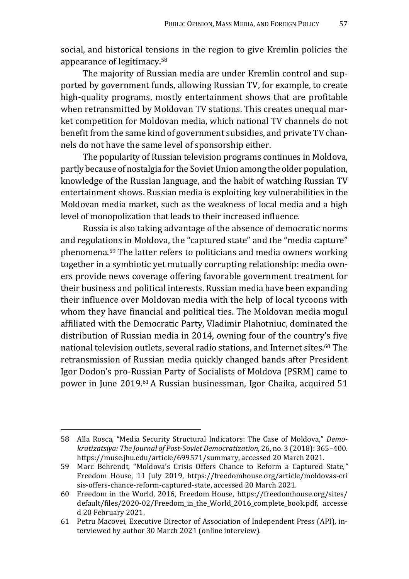social, and historical tensions in the region to give Kremlin policies the appearance of legitimacy.58

The majority of Russian media are under Kremlin control and supported by government funds, allowing Russian TV, for example, to create high-quality programs, mostly entertainment shows that are profitable when retransmitted by Moldovan TV stations. This creates unequal market competition for Moldovan media, which national TV channels do not benefit from the same kind of government subsidies, and private TV channels do not have the same level of sponsorship either.

The popularity of Russian television programs continues in Moldova, partly because of nostalgia for the Soviet Union among the older population, knowledge of the Russian language, and the habit of watching Russian TV entertainment shows. Russian media is exploiting key vulnerabilities in the Moldovan media market, such as the weakness of local media and a high level of monopolization that leads to their increased influence.

Russia is also taking advantage of the absence of democratic norms and regulations in Moldova, the "captured state" and the "media capture" phenomena.59 The latter refers to politicians and media owners working together in a symbiotic yet mutually corrupting relationship: media owners provide news coverage offering favorable government treatment for their business and political interests. Russian media have been expanding their influence over Moldovan media with the help of local tycoons with whom they have financial and political ties. The Moldovan media mogul affiliated with the Democratic Party, Vladimir Plahotniuc, dominated the distribution of Russian media in 2014, owning four of the country's five national television outlets, several radio stations, and Internet sites.60 The retransmission of Russian media quickly changed hands after President Igor Dodon's pro-Russian Party of Socialists of Moldova (PSRM) came to power in June 2019.61 A Russian businessman, Igor Chaika, acquired 51

<sup>58</sup> Alla Rosca, "Media Security Structural Indicators: The Case of Moldova," *Demokratizatsiya: The Journal of Post-Soviet Democratization*, 26, no. 3 (2018): 365–400. https://muse.jhu.edu/article/699571/summary, accessed 20 March 2021.

<sup>59</sup> Marc Behrendt, "Moldova's Crisis Offers Chance to Reform a Captured State*,"*  Freedom House, 11 July 2019, https://freedomhouse.org/article/moldovas-cri sis-offers-chance-reform-captured-state, accessed 20 March 2021.

<sup>60</sup> Freedom in the World, 2016, Freedom House, https://freedomhouse.org/sites/ default/files/2020-02/Freedom\_in\_the\_World\_2016\_complete\_book.pdf, accesse d 20 February 2021.

<sup>61</sup> Petru Macovei, Executive Director of Association of Independent Press (API), interviewed by author 30 March 2021 (online interview).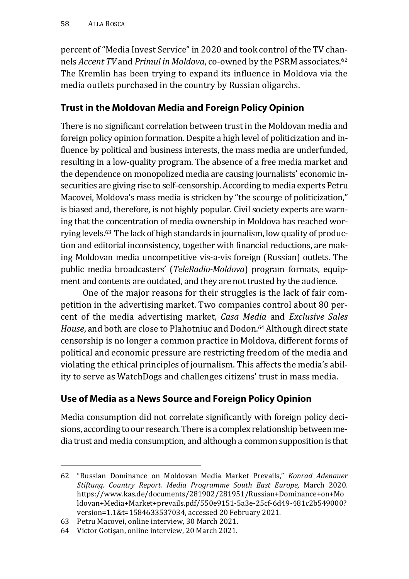percent of "Media Invest Service" in 2020 and took control of the TV channels *Accent TV* and *Primul in Moldova*, co-owned by the PSRM associates.62 The Kremlin has been trying to expand its influence in Moldova via the media outlets purchased in the country by Russian oligarchs.

#### **Trust in the Moldovan Media and Foreign Policy Opinion**

There is no significant correlation between trust in the Moldovan media and foreign policy opinion formation. Despite a high level of politicization and influence by political and business interests, the mass media are underfunded, resulting in a low-quality program. The absence of a free media market and the dependence on monopolized media are causing journalists' economic insecurities are giving rise to self-censorship. According to media experts Petru Macovei, Moldova's mass media is stricken by "the scourge of politicization," is biased and, therefore, is not highly popular. Civil society experts are warning that the concentration of media ownership in Moldova has reached worrying levels.63 The lack of high standards in journalism, low quality of production and editorial inconsistency, together with financial reductions, are making Moldovan media uncompetitive vis-a-vis foreign (Russian) outlets. The public media broadcasters' (*TeleRadio-Moldova*) program formats, equipment and contents are outdated, and they are not trusted by the audience.

One of the major reasons for their struggles is the lack of fair competition in the advertising market. Two companies control about 80 percent of the media advertising market, *Casa Media* and *Exclusive Sales House*, and both are close to Plahotniuc and Dodon.64 Although direct state censorship is no longer a common practice in Moldova, different forms of political and economic pressure are restricting freedom of the media and violating the ethical principles of journalism. This affects the media's ability to serve as WatchDogs and challenges citizens' trust in mass media.

#### **Use of Media as a News Source and Foreign Policy Opinion**

Media consumption did not correlate significantly with foreign policy decisions, according to our research. There is a complex relationship between media trust and media consumption, and although a common supposition is that

<sup>62 &</sup>quot;Russian Dominance on Moldovan Media Market Prevails," *Konrad Adenauer Stiftung. Country Report. Media Programme South East Europe,* March 2020. https://www.kas.de/documents/281902/281951/Russian+Dominance+on+Mo ldovan+Media+Market+prevails.pdf/550e9151-5a3e-25cf-6d49-481c2b549000? version=1.1&t=1584633537034, accessed 20 February 2021.

<sup>63</sup> Petru Macovei, online interview, 30 March 2021.

<sup>64</sup> Victor Gotișan, online interview, 20 March 2021.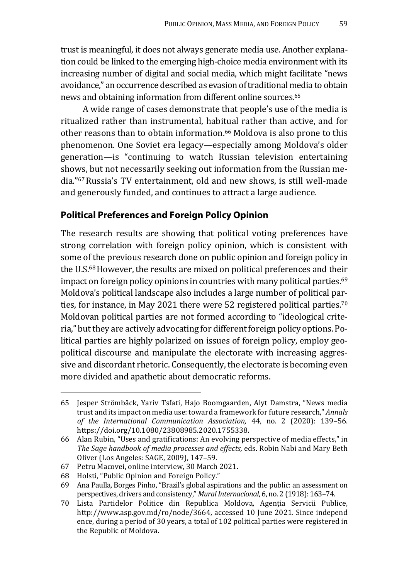trust is meaningful, it does not always generate media use. Another explanation could be linked to the emerging high-choice media environment with its increasing number of digital and social media, which might facilitate "news avoidance," an occurrence described as evasion of traditional media to obtain news and obtaining information from different online sources.<sup>65</sup>

A wide range of cases demonstrate that people's use of the media is ritualized rather than instrumental, habitual rather than active, and for other reasons than to obtain information.66 Moldova is also prone to this phenomenon. One Soviet era legacy—especially among Moldova's older generation—is "continuing to watch Russian television entertaining shows, but not necessarily seeking out information from the Russian media."67 Russia's TV entertainment, old and new shows, is still well-made and generously funded, and continues to attract a large audience.

#### **Political Preferences and Foreign Policy Opinion**

The research results are showing that political voting preferences have strong correlation with foreign policy opinion, which is consistent with some of the previous research done on public opinion and foreign policy in the U.S.68 However, the results are mixed on political preferences and their impact on foreign policy opinions in countries with many political parties.<sup>69</sup> Moldova's political landscape also includes a large number of political parties, for instance, in May 2021 there were 52 registered political parties.<sup>70</sup> Moldovan political parties are not formed according to "ideological criteria," but they are actively advocating for different foreign policy options. Political parties are highly polarized on issues of foreign policy, employ geopolitical discourse and manipulate the electorate with increasing aggressive and discordant rhetoric. Consequently, the electorate is becoming even more divided and apathetic about democratic reforms.

<sup>65</sup> Jesper Strömbäck, Yariv Tsfati, Hajo Boomgaarden, Alyt Damstra, "News media trust and its impact on media use: toward a framework for future research," *Annals of the International Communication Association,* 44, no. 2 (2020): 139–56. https://doi.org/10.1080/23808985.2020.1755338.

<sup>66</sup> Alan Rubin, "Uses and gratifications: An evolving perspective of media effects," in *The Sage handbook of media processes and effects,* eds. Robin Nabi and Mary Beth Oliver (Los Angeles: SAGE, 2009), 147–59.

<sup>67</sup> Petru Macovei, online interview, 30 March 2021.

<sup>68</sup> Holsti, "Public Opinion and Foreign Policy."

<sup>69</sup> Ana Paulla, Borges Pinho, "Brazil's global aspirations and the public: an assessment on perspectives, drivers and consistency," *Mural Internacional*, 6, no. 2 (1918): 163–74.

<sup>70</sup> Lista Partidelor Politice din Republica Moldova, Agenția Servicii Publice, http://www.asp.gov.md/ro/node/3664, accessed 10 June 2021. Since independ ence, during a period of 30 years, a total of 102 political parties were registered in the Republic of Moldova.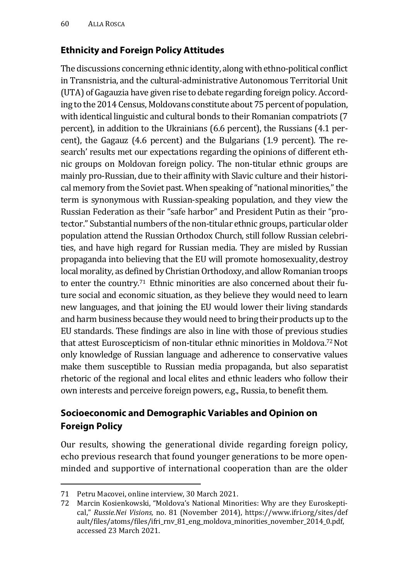#### **Ethnicity and Foreign Policy Attitudes**

The discussions concerning ethnic identity, along with ethno-political conflict in Transnistria, and the cultural-administrative Autonomous Territorial Unit (UTA) of Gagauzia have given rise to debate regarding foreign policy. According to the 2014 Census, Moldovans constitute about 75 percent of population, with identical linguistic and cultural bonds to their Romanian compatriots (7 percent), in addition to the Ukrainians (6.6 percent), the Russians (4.1 percent), the Gagauz (4.6 percent) and the Bulgarians (1.9 percent). The research' results met our expectations regarding the opinions of different ethnic groups on Moldovan foreign policy. The non-titular ethnic groups are mainly pro-Russian, due to their affinity with Slavic culture and their historical memory from the Soviet past. When speaking of "national minorities," the term is synonymous with Russian-speaking population, and they view the Russian Federation as their "safe harbor" and President Putin as their "protector." Substantial numbers of the non-titular ethnic groups, particular older population attend the Russian Orthodox Church, still follow Russian celebrities, and have high regard for Russian media. They are misled by Russian propaganda into believing that the EU will promote homosexuality,destroy local morality, as defined by Christian Orthodoxy, and allow Romanian troops to enter the country.<sup>71</sup> Ethnic minorities are also concerned about their future social and economic situation, as they believe they would need to learn new languages, and that joining the EU would lower their living standards and harm business because they would need to bring their products up to the EU standards. These findings are also in line with those of previous studies that attest Euroscepticism of non-titular ethnic minorities in Moldova.72 Not only knowledge of Russian language and adherence to conservative values make them susceptible to Russian media propaganda, but also separatist rhetoric of the regional and local elites and ethnic leaders who follow their own interests and perceive foreign powers, e.g., Russia, to benefit them.

#### **Socioeconomic and Demographic Variables and Opinion on Foreign Policy**

Our results, showing the generational divide regarding foreign policy, echo previous research that found younger generations to be more openminded and supportive of international cooperation than are the older

<sup>71</sup> Petru Macovei, online interview, 30 March 2021.

<sup>72</sup> Marcin Kosienkowski, "Moldova's National Minorities: Why are they Euroskeptical," *Russie.Nei Visions,* no. 81 (November 2014), https://www.ifri.org/sites/def ault/files/atoms/files/ifri\_rnv\_81\_eng\_moldova\_minorities\_november\_2014\_0.pdf, accessed 23 March 2021.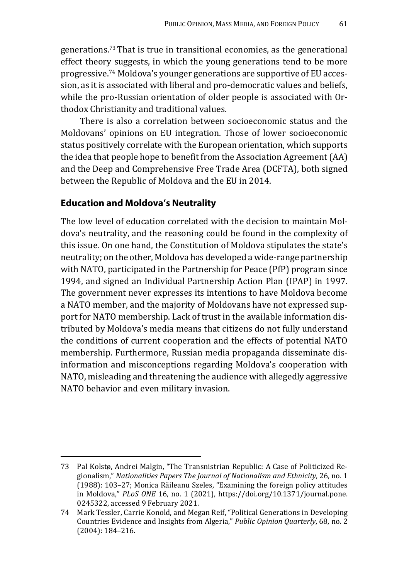generations.73 That is true in transitional economies, as the generational effect theory suggests, in which the young generations tend to be more progressive.74 Moldova's younger generations are supportive of EU accession, as it is associated with liberal and pro-democratic values and beliefs, while the pro-Russian orientation of older people is associated with Orthodox Christianity and traditional values.

There is also a correlation between socioeconomic status and the Moldovans' opinions on EU integration. Those of lower socioeconomic status positively correlate with the European orientation, which supports the idea that people hope to benefit from the Association Agreement (AA) and the Deep and Comprehensive Free Trade Area (DCFTA), both signed between the Republic of Moldova and the EU in 2014.

#### **Education and Moldova's Neutrality**

The low level of education correlated with the decision to maintain Moldova's neutrality, and the reasoning could be found in the complexity of this issue. On one hand, the Constitution of Moldova stipulates the state's neutrality; on the other, Moldova has developed a wide-range partnership with NATO, participated in the Partnership for Peace (PfP) program since 1994, and signed an Individual Partnership Action Plan (IPAP) in 1997. The government never expresses its intentions to have Moldova become a NATO member, and the majority of Moldovans have not expressed support for NATO membership. Lack of trust in the available information distributed by Moldova's media means that citizens do not fully understand the conditions of current cooperation and the effects of potential NATO membership. Furthermore, Russian media propaganda disseminate disinformation and misconceptions regarding Moldova's cooperation with NATO, misleading and threatening the audience with allegedly aggressive NATO behavior and even military invasion.

<sup>73</sup> Pal Kolstø, Andrei Malgin, "The Transnistrian Republic: A Case of Politicized Regionalism," *Nationalities Papers The Journal of Nationalism and Ethnicity*, 26, no. 1 (1988): 103–27; Monica Răileanu Szeles, "Examining the foreign policy attitudes in Moldova," *PLoS ONE* 16, no. 1 (2021), https://doi.org/10.1371/journal.pone. 0245322, accessed 9 February 2021.

<sup>74</sup> Mark Tessler, Carrie Konold, and Megan Reif, "Political Generations in Developing Countries Evidence and Insights from Algeria," *Public Opinion Quarterly*, 68, no. 2 (2004): 184–216.